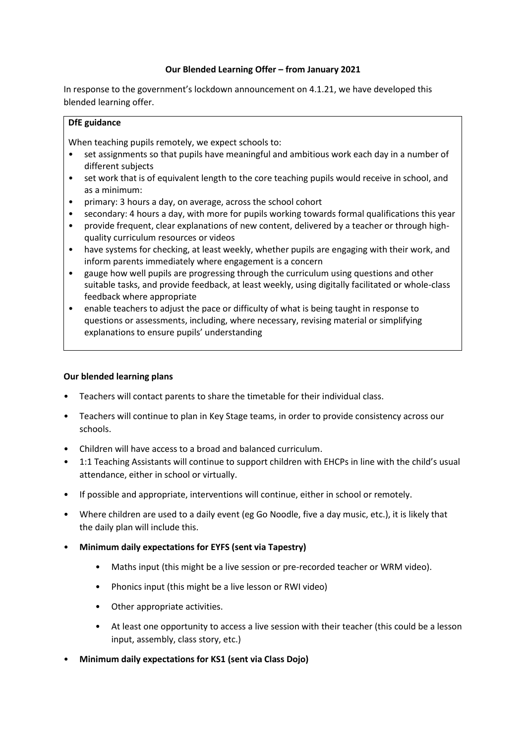## **Our Blended Learning Offer – from January 2021**

In response to the government's lockdown announcement on 4.1.21, we have developed this blended learning offer.

## **DfE guidance**

When teaching pupils remotely, we expect schools to:

- set assignments so that pupils have meaningful and ambitious work each day in a number of different subjects
- set work that is of equivalent length to the core teaching pupils would receive in school, and as a minimum:
- primary: 3 hours a day, on average, across the school cohort
- secondary: 4 hours a day, with more for pupils working towards formal qualifications this year
- provide frequent, clear explanations of new content, delivered by a teacher or through highquality curriculum resources or videos
- have systems for checking, at least weekly, whether pupils are engaging with their work, and inform parents immediately where engagement is a concern
- gauge how well pupils are progressing through the curriculum using questions and other suitable tasks, and provide feedback, at least weekly, using digitally facilitated or whole-class feedback where appropriate
- enable teachers to adjust the pace or difficulty of what is being taught in response to questions or assessments, including, where necessary, revising material or simplifying explanations to ensure pupils' understanding

# **Our blended learning plans**

- Teachers will contact parents to share the timetable for their individual class.
- Teachers will continue to plan in Key Stage teams, in order to provide consistency across our schools.
- Children will have access to a broad and balanced curriculum.
- 1:1 Teaching Assistants will continue to support children with EHCPs in line with the child's usual attendance, either in school or virtually.
- If possible and appropriate, interventions will continue, either in school or remotely.
- Where children are used to a daily event (eg Go Noodle, five a day music, etc.), it is likely that the daily plan will include this.
- **Minimum daily expectations for EYFS (sent via Tapestry)** 
	- Maths input (this might be a live session or pre-recorded teacher or WRM video).
	- Phonics input (this might be a live lesson or RWI video)
	- Other appropriate activities.
	- At least one opportunity to access a live session with their teacher (this could be a lesson input, assembly, class story, etc.)
- **Minimum daily expectations for KS1 (sent via Class Dojo)**